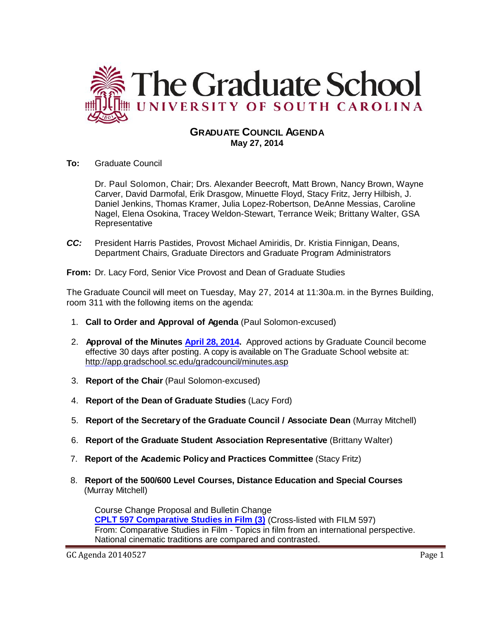

## **GRADUATE COUNCIL AGENDA May 27, 2014**

**To:** Graduate Council

Dr. Paul Solomon, Chair; Drs. Alexander Beecroft, Matt Brown, Nancy Brown, Wayne Carver, David Darmofal, Erik Drasgow, Minuette Floyd, Stacy Fritz, Jerry Hilbish, J. Daniel Jenkins, Thomas Kramer, Julia Lopez-Robertson, DeAnne Messias, Caroline Nagel, Elena Osokina, Tracey Weldon-Stewart, Terrance Weik; Brittany Walter, GSA Representative

*CC:* President Harris Pastides, Provost Michael Amiridis, Dr. Kristia Finnigan, Deans, Department Chairs, Graduate Directors and Graduate Program Administrators

**From:** Dr. Lacy Ford, Senior Vice Provost and Dean of Graduate Studies

The Graduate Council will meet on Tuesday, May 27, 2014 at 11:30a.m. in the Byrnes Building, room 311 with the following items on the agenda:

- 1. **Call to Order and Approval of Agenda** (Paul Solomon-excused)
- 2. **Approval of the Minutes [April 28, 2014.](http://gradschool.sc.edu/facstaff/gradcouncil/2013/GC%20Minutes%204%2028%2014%20MM.pdf)** Approved actions by Graduate Council become effective 30 days after posting. A copy is available on The Graduate School website at: <http://app.gradschool.sc.edu/gradcouncil/minutes.asp>
- 3. **Report of the Chair** (Paul Solomon-excused)
- 4. **Report of the Dean of Graduate Studies** (Lacy Ford)
- 5. **Report of the Secretary of the Graduate Council / Associate Dean** (Murray Mitchell)
- 6. **Report of the Graduate Student Association Representative** (Brittany Walter)
- 7. **Report of the Academic Policy and Practices Committee** (Stacy Fritz)
- 8. **Report of the 500/600 Level Courses, Distance Education and Special Courses** (Murray Mitchell)

Course Change Proposal and Bulletin Change **[CPLT 597 Comparative Studies in](http://gradschool.sc.edu/facstaff/gradcouncil/2013/CPLT%20597_Redacted.pdf) Film (3)** (Cross-listed with FILM 597) From: Comparative Studies in Film - Topics in film from an international perspective. National cinematic traditions are compared and contrasted.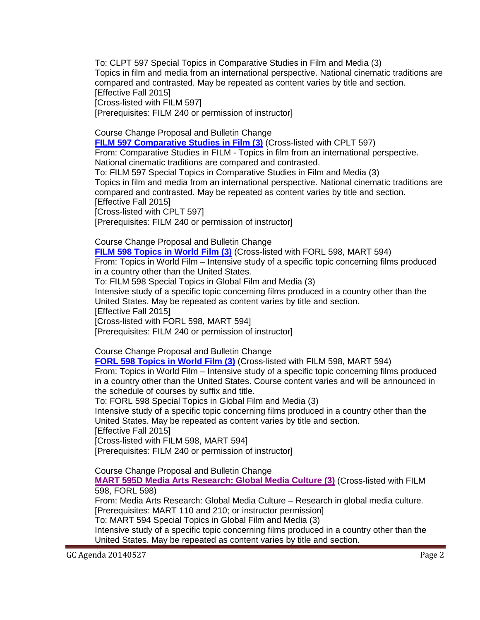To: CLPT 597 Special Topics in Comparative Studies in Film and Media (3) Topics in film and media from an international perspective. National cinematic traditions are compared and contrasted. May be repeated as content varies by title and section. **[Effective Fall 2015]** 

[Cross-listed with FILM 597]

[Prerequisites: FILM 240 or permission of instructor]

Course Change Proposal and Bulletin Change

**FILM 597 [Comparative Studies in Film \(3\)](http://gradschool.sc.edu/facstaff/gradcouncil/2013/FILM%20597%20Comparative%20Studies%20in%20Film-crosslisted.pdf)** (Cross-listed with CPLT 597) From: Comparative Studies in FILM - Topics in film from an international perspective.

National cinematic traditions are compared and contrasted. To: FILM 597 Special Topics in Comparative Studies in Film and Media (3)

Topics in film and media from an international perspective. National cinematic traditions are compared and contrasted. May be repeated as content varies by title and section. [Effective Fall 2015]

[Cross-listed with CPLT 597]

[Prerequisites: FILM 240 or permission of instructor]

Course Change Proposal and Bulletin Change

**FILM 598 [Topics in World Film \(3\)](http://gradschool.sc.edu/facstaff/gradcouncil/2013/FILM%20598_Redacted.pdf)** (Cross-listed with FORL 598, MART 594)

From: Topics in World Film – Intensive study of a specific topic concerning films produced in a country other than the United States.

To: FILM 598 Special Topics in Global Film and Media (3)

Intensive study of a specific topic concerning films produced in a country other than the United States. May be repeated as content varies by title and section.

[Effective Fall 2015]

[Cross-listed with FORL 598, MART 594]

[Prerequisites: FILM 240 or permission of instructor]

Course Change Proposal and Bulletin Change

**[FORL 598 Topics in World Film \(3\)](http://gradschool.sc.edu/facstaff/gradcouncil/2013/FORL%20598%20(Cross-listed%20with%20FILM%20598_Redacted.pdf)** (Cross-listed with FILM 598, MART 594)

From: Topics in World Film – Intensive study of a specific topic concerning films produced in a country other than the United States. Course content varies and will be announced in the schedule of courses by suffix and title.

To: FORL 598 Special Topics in Global Film and Media (3)

Intensive study of a specific topic concerning films produced in a country other than the United States. May be repeated as content varies by title and section.

[Effective Fall 2015]

[Cross-listed with FILM 598, MART 594]

[Prerequisites: FILM 240 or permission of instructor]

Course Change Proposal and Bulletin Change

**MART 595D [Media Arts Research: Global Media Culture \(3\)](http://gradschool.sc.edu/facstaff/gradcouncil/2013/MART%20595_Redacted.pdf)** (Cross-listed with FILM 598, FORL 598)

From: Media Arts Research: Global Media Culture – Research in global media culture. [Prerequisites: MART 110 and 210; or instructor permission]

To: MART 594 Special Topics in Global Film and Media (3)

Intensive study of a specific topic concerning films produced in a country other than the United States. May be repeated as content varies by title and section.

GC Agenda 20140527 Page 2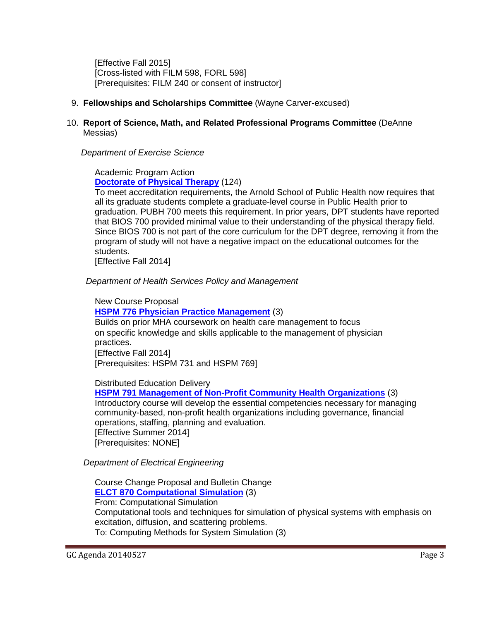[Effective Fall 2015] [Cross-listed with FILM 598, FORL 598] [Prerequisites: FILM 240 or consent of instructor]

- 9. **Fellowships and Scholarships Committee** (Wayne Carver-excused)
- 10. **Report of Science, Math, and Related Professional Programs Committee** (DeAnne Messias)

*Department of Exercise Science*

Academic Program Action **[Doctorate of Physical Therapy](http://gradschool.sc.edu/facstaff/gradcouncil/2013/Doctorate%20of%20PT%20APA%205-1-14_Redacted.pdf)** (124)

To meet accreditation requirements, the Arnold School of Public Health now requires that all its graduate students complete a graduate-level course in Public Health prior to graduation. PUBH 700 meets this requirement. In prior years, DPT students have reported that BIOS 700 provided minimal value to their understanding of the physical therapy field. Since BIOS 700 is not part of the core curriculum for the DPT degree, removing it from the program of study will not have a negative impact on the educational outcomes for the students.

[Effective Fall 2014]

 *Department of Health Services Policy and Management*

New Course Proposal **[HSPM 776 Physician Practice Management](http://gradschool.sc.edu/facstaff/gradcouncil/2013/HSPM%20776%20NCP_Redacted.pdf)** (3) Builds on prior MHA coursework on health care management to focus on specific knowledge and skills applicable to the management of physician practices. [Effective Fall 2014] [Prerequisites: HSPM 731 and HSPM 769]

Distributed Education Delivery

**[HSPM 791 Management of Non-Profit Community Health Organizations](http://gradschool.sc.edu/facstaff/gradcouncil/2013/HSPM%20791%20DED-STC_Redacted.pdf)** (3) Introductory course will develop the essential competencies necessary for managing community-based, non-profit health organizations including governance, financial operations, staffing, planning and evaluation. [Effective Summer 2014] [Prerequisites: NONE]

*Department of Electrical Engineering*

Course Change Proposal and Bulletin Change **[ELCT 870 Computational Simulation](http://gradschool.sc.edu/facstaff/gradcouncil/2013/ELCT%20870%20CCP_Redacted1.pdf)** (3) From: Computational Simulation Computational tools and techniques for simulation of physical systems with emphasis on excitation, diffusion, and scattering problems. To: Computing Methods for System Simulation (3)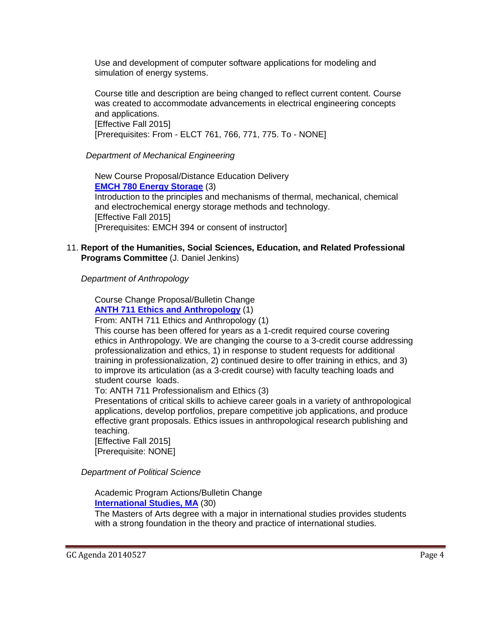Use and development of computer software applications for modeling and simulation of energy systems.

Course title and description are being changed to reflect current content. Course was created to accommodate advancements in electrical engineering concepts and applications. [Effective Fall 2015] [Prerequisites: From - ELCT 761, 766, 771, 775. To - NONE]

*Department of Mechanical Engineering*

New Course Proposal/Distance Education Delivery **[EMCH 780 Energy Storage](http://gradschool.sc.edu/facstaff/gradcouncil/2013/EMCH%20780%20NCP_Redacted%20updated.pdf)** (3) Introduction to the principles and mechanisms of thermal, mechanical, chemical and electrochemical energy storage methods and technology. **[Effective Fall 2015]** [Prerequisites: EMCH 394 or consent of instructor]

### 11. **Report of the Humanities, Social Sciences, Education, and Related Professional Programs Committee** (J. Daniel Jenkins)

*Department of Anthropology*

Course Change Proposal/Bulletin Change **[ANTH 711 Ethics and Anthropology](http://gradschool.sc.edu/facstaff/gradcouncil/2013/ANTH%20711%20CCP_Redacted1.pdf)** (1)

From: ANTH 711 Ethics and Anthropology (1)

This course has been offered for years as a 1-credit required course covering ethics in Anthropology. We are changing the course to a 3-credit course addressing professionalization and ethics, 1) in response to student requests for additional training in professionalization, 2) continued desire to offer training in ethics, and 3) to improve its articulation (as a 3-credit course) with faculty teaching loads and student course loads.

To: ANTH 711 Professionalism and Ethics (3)

Presentations of critical skills to achieve career goals in a variety of anthropological applications, develop portfolios, prepare competitive job applications, and produce effective grant proposals. Ethics issues in anthropological research publishing and teaching.

[Effective Fall 2015] [Prerequisite: NONE]

 *Department of Political Science*

Academic Program Actions/Bulletin Change **[International Studies, MA](http://gradschool.sc.edu/facstaff/gradcouncil/2013/International%20Studies,%20MA%20APA_Redacted.pdf)** (30)

The Masters of Arts degree with a major in international studies provides students with a strong foundation in the theory and practice of international studies.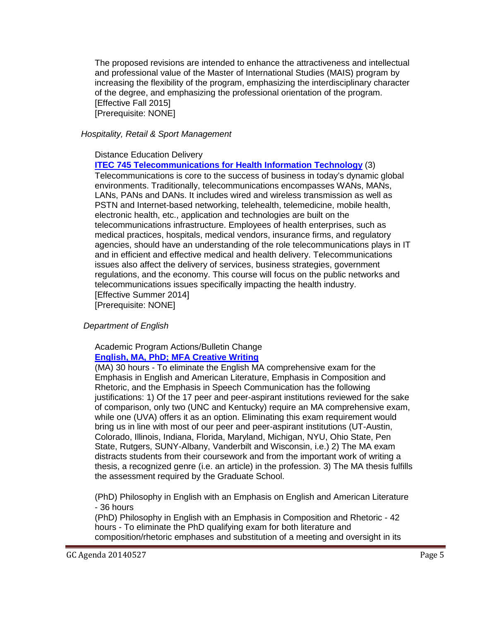The proposed revisions are intended to enhance the attractiveness and intellectual and professional value of the Master of International Studies (MAIS) program by increasing the flexibility of the program, emphasizing the interdisciplinary character of the degree, and emphasizing the professional orientation of the program. [Effective Fall 2015] [Prerequisite: NONE]

#### *Hospitality, Retail & Sport Management*

#### Distance Education Delivery

**[ITEC 745 Telecommunications for Health Information Technology](http://gradschool.sc.edu/facstaff/gradcouncil/2013/ITEC-745%20DED_Redacted.pdf)** (3)

Telecommunications is core to the success of business in today's dynamic global environments. Traditionally, telecommunications encompasses WANs, MANs, LANs, PANs and DANs. It includes wired and wireless transmission as well as PSTN and Internet-based networking, telehealth, telemedicine, mobile health, electronic health, etc., application and technologies are built on the telecommunications infrastructure. Employees of health enterprises, such as medical practices, hospitals, medical vendors, insurance firms, and regulatory agencies, should have an understanding of the role telecommunications plays in IT and in efficient and effective medical and health delivery. Telecommunications issues also affect the delivery of services, business strategies, government regulations, and the economy. This course will focus on the public networks and telecommunications issues specifically impacting the health industry. [Effective Summer 2014] [Prerequisite: NONE]

*Department of English*

#### Academic Program Actions/Bulletin Change **English, [MA, PhD; MFA Creative Writing](http://gradschool.sc.edu/facstaff/gradcouncil/2013/English%20MA%20PhD%20Creative%20Writing%20MFA_Redacted1.pdf)**

(MA) 30 hours - To eliminate the English MA comprehensive exam for the Emphasis in English and American Literature, Emphasis in Composition and Rhetoric, and the Emphasis in Speech Communication has the following justifications: 1) Of the 17 peer and peer-aspirant institutions reviewed for the sake of comparison, only two (UNC and Kentucky) require an MA comprehensive exam, while one (UVA) offers it as an option. Eliminating this exam requirement would bring us in line with most of our peer and peer-aspirant institutions (UT-Austin, Colorado, Illinois, Indiana, Florida, Maryland, Michigan, NYU, Ohio State, Pen State, Rutgers, SUNY-Albany, Vanderbilt and Wisconsin, i.e.) 2) The MA exam distracts students from their coursework and from the important work of writing a thesis, a recognized genre (i.e. an article) in the profession. 3) The MA thesis fulfills the assessment required by the Graduate School.

(PhD) Philosophy in English with an Emphasis on English and American Literature - 36 hours

(PhD) Philosophy in English with an Emphasis in Composition and Rhetoric - 42 hours - To eliminate the PhD qualifying exam for both literature and composition/rhetoric emphases and substitution of a meeting and oversight in its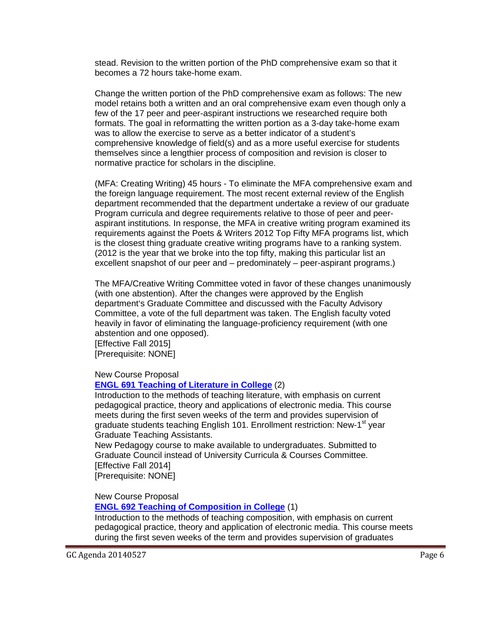stead. Revision to the written portion of the PhD comprehensive exam so that it becomes a 72 hours take-home exam.

Change the written portion of the PhD comprehensive exam as follows: The new model retains both a written and an oral comprehensive exam even though only a few of the 17 peer and peer-aspirant instructions we researched require both formats. The goal in reformatting the written portion as a 3-day take-home exam was to allow the exercise to serve as a better indicator of a student's comprehensive knowledge of field(s) and as a more useful exercise for students themselves since a lengthier process of composition and revision is closer to normative practice for scholars in the discipline.

(MFA: Creating Writing) 45 hours - To eliminate the MFA comprehensive exam and the foreign language requirement. The most recent external review of the English department recommended that the department undertake a review of our graduate Program curricula and degree requirements relative to those of peer and peeraspirant institutions. In response, the MFA in creative writing program examined its requirements against the Poets & Writers 2012 Top Fifty MFA programs list, which is the closest thing graduate creative writing programs have to a ranking system. (2012 is the year that we broke into the top fifty, making this particular list an excellent snapshot of our peer and – predominately – peer-aspirant programs.)

The MFA/Creative Writing Committee voted in favor of these changes unanimously (with one abstention). After the changes were approved by the English department's Graduate Committee and discussed with the Faculty Advisory Committee, a vote of the full department was taken. The English faculty voted heavily in favor of eliminating the language-proficiency requirement (with one abstention and one opposed).

[Effective Fall 2015] [Prerequisite: NONE]

New Course Proposal

#### **ENGL 691 [Teaching of Literature in College](http://gradschool.sc.edu/facstaff/gradcouncil/2013/ENGL%20691%20NCP_Redacted.pdf)** (2)

Introduction to the methods of teaching literature, with emphasis on current pedagogical practice, theory and applications of electronic media. This course meets during the first seven weeks of the term and provides supervision of graduate students teaching English 101. Enrollment restriction: New-1<sup>st</sup> year Graduate Teaching Assistants.

New Pedagogy course to make available to undergraduates. Submitted to Graduate Council instead of University Curricula & Courses Committee. [Effective Fall 2014] [Prerequisite: NONE]

New Course Proposal

**[ENGL 692 Teaching of Composition in College](http://gradschool.sc.edu/facstaff/gradcouncil/2013/ENGL%20692%20NCP_Redacted.pdf)** (1)

Introduction to the methods of teaching composition, with emphasis on current pedagogical practice, theory and application of electronic media. This course meets during the first seven weeks of the term and provides supervision of graduates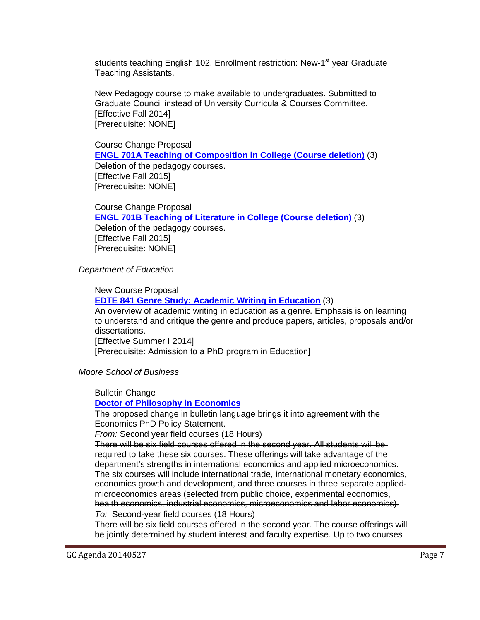students teaching English 102. Enrollment restriction: New-1<sup>st</sup> year Graduate Teaching Assistants.

New Pedagogy course to make available to undergraduates. Submitted to Graduate Council instead of University Curricula & Courses Committee. [Effective Fall 2014] [Prerequisite: NONE]

 Course Change Proposal **[ENGL 701A Teaching of Composition in College \(Course deletion\)](http://gradschool.sc.edu/facstaff/gradcouncil/2013/ENGL%20701A%20CCP_Redacted.pdf)** (3) Deletion of the pedagogy courses. [Effective Fall 2015] [Prerequisite: NONE]

Course Change Proposal **[ENGL 701B Teaching of Literature in College \(Course deletion\)](http://gradschool.sc.edu/facstaff/gradcouncil/2013/ENGL%20701B%20CCP_Redacted.pdf)** (3) Deletion of the pedagogy courses. [Effective Fall 2015] [Prerequisite: NONE]

 *Department of Education*

New Course Proposal **[EDTE 841 Genre Study: Academic Writing in Education](http://gradschool.sc.edu/facstaff/gradcouncil/2013/EDTE%20841%20NCP_Redacted.pdf)** (3) An overview of academic writing in education as a genre. Emphasis is on learning to understand and critique the genre and produce papers, articles, proposals and/or dissertations. [Effective Summer I 2014] [Prerequisite: Admission to a PhD program in Education]

*Moore School of Business*

Bulletin Change

**[Doctor of Philosophy in Economics](http://gradschool.sc.edu/facstaff/gradcouncil/2013/ECON%20PhD%20BCH.pdf)**

The proposed change in bulletin language brings it into agreement with the Economics PhD Policy Statement.

*From:* Second year field courses (18 Hours)

There will be six field courses offered in the second year. All students will be required to take these six courses. These offerings will take advantage of the department's strengths in international economics and applied microeconomics. The six courses will include international trade, international monetary economics, economics growth and development, and three courses in three separate appliedmicroeconomics areas (selected from public choice, experimental economics, health economics, industrial economics, microeconomics and labor economics). *To:* Second-year field courses (18 Hours)

There will be six field courses offered in the second year. The course offerings will be jointly determined by student interest and faculty expertise. Up to two courses